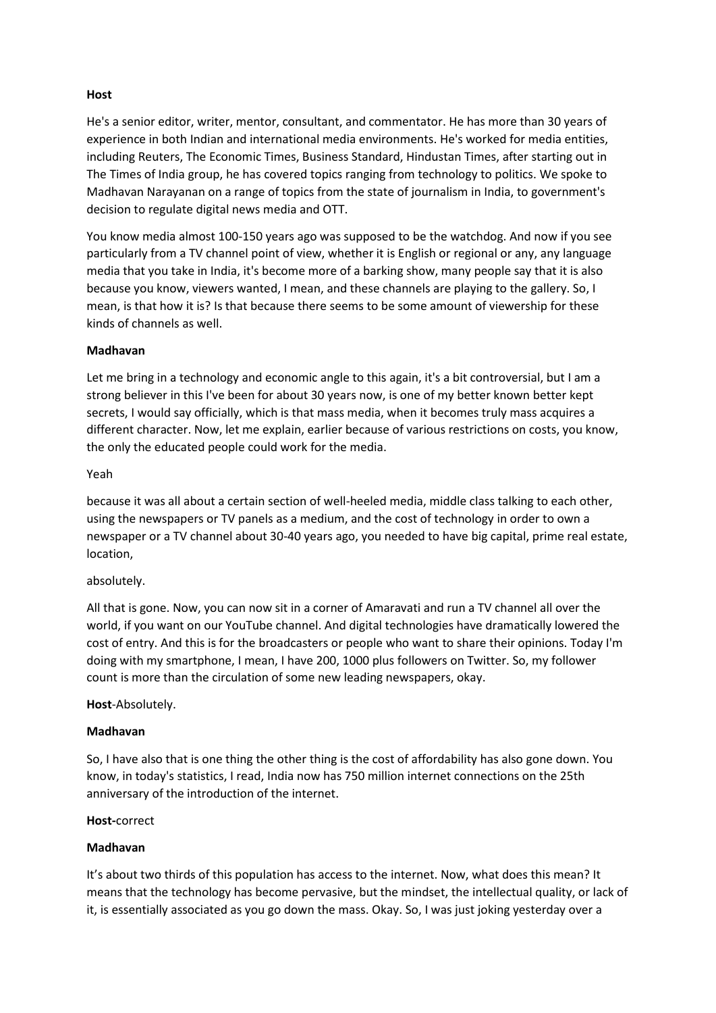# **Host**

He's a senior editor, writer, mentor, consultant, and commentator. He has more than 30 years of experience in both Indian and international media environments. He's worked for media entities, including Reuters, The Economic Times, Business Standard, Hindustan Times, after starting out in The Times of India group, he has covered topics ranging from technology to politics. We spoke to Madhavan Narayanan on a range of topics from the state of journalism in India, to government's decision to regulate digital news media and OTT.

You know media almost 100-150 years ago was supposed to be the watchdog. And now if you see particularly from a TV channel point of view, whether it is English or regional or any, any language media that you take in India, it's become more of a barking show, many people say that it is also because you know, viewers wanted, I mean, and these channels are playing to the gallery. So, I mean, is that how it is? Is that because there seems to be some amount of viewership for these kinds of channels as well.

# **Madhavan**

Let me bring in a technology and economic angle to this again, it's a bit controversial, but I am a strong believer in this I've been for about 30 years now, is one of my better known better kept secrets, I would say officially, which is that mass media, when it becomes truly mass acquires a different character. Now, let me explain, earlier because of various restrictions on costs, you know, the only the educated people could work for the media.

# Yeah

because it was all about a certain section of well-heeled media, middle class talking to each other, using the newspapers or TV panels as a medium, and the cost of technology in order to own a newspaper or a TV channel about 30-40 years ago, you needed to have big capital, prime real estate, location,

## absolutely.

All that is gone. Now, you can now sit in a corner of Amaravati and run a TV channel all over the world, if you want on our YouTube channel. And digital technologies have dramatically lowered the cost of entry. And this is for the broadcasters or people who want to share their opinions. Today I'm doing with my smartphone, I mean, I have 200, 1000 plus followers on Twitter. So, my follower count is more than the circulation of some new leading newspapers, okay.

## **Host**-Absolutely.

## **Madhavan**

So, I have also that is one thing the other thing is the cost of affordability has also gone down. You know, in today's statistics, I read, India now has 750 million internet connections on the 25th anniversary of the introduction of the internet.

## **Host-**correct

# **Madhavan**

It's about two thirds of this population has access to the internet. Now, what does this mean? It means that the technology has become pervasive, but the mindset, the intellectual quality, or lack of it, is essentially associated as you go down the mass. Okay. So, I was just joking yesterday over a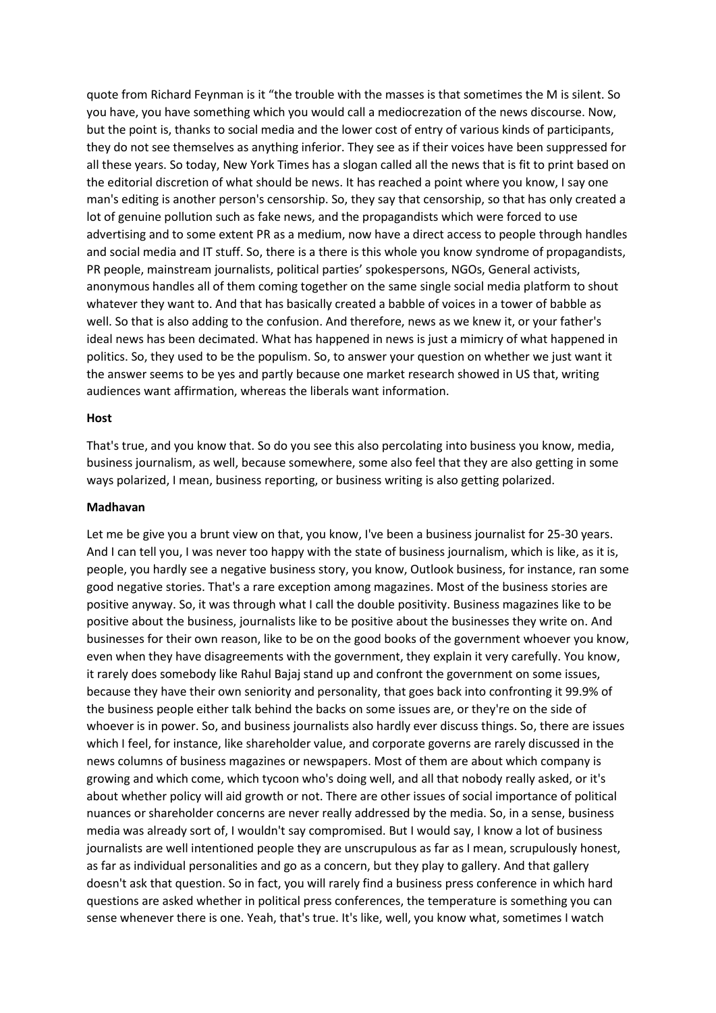quote from Richard Feynman is it "the trouble with the masses is that sometimes the M is silent. So you have, you have something which you would call a mediocrezation of the news discourse. Now, but the point is, thanks to social media and the lower cost of entry of various kinds of participants, they do not see themselves as anything inferior. They see as if their voices have been suppressed for all these years. So today, New York Times has a slogan called all the news that is fit to print based on the editorial discretion of what should be news. It has reached a point where you know, I say one man's editing is another person's censorship. So, they say that censorship, so that has only created a lot of genuine pollution such as fake news, and the propagandists which were forced to use advertising and to some extent PR as a medium, now have a direct access to people through handles and social media and IT stuff. So, there is a there is this whole you know syndrome of propagandists, PR people, mainstream journalists, political parties' spokespersons, NGOs, General activists, anonymous handles all of them coming together on the same single social media platform to shout whatever they want to. And that has basically created a babble of voices in a tower of babble as well. So that is also adding to the confusion. And therefore, news as we knew it, or your father's ideal news has been decimated. What has happened in news is just a mimicry of what happened in politics. So, they used to be the populism. So, to answer your question on whether we just want it the answer seems to be yes and partly because one market research showed in US that, writing audiences want affirmation, whereas the liberals want information.

#### **Host**

That's true, and you know that. So do you see this also percolating into business you know, media, business journalism, as well, because somewhere, some also feel that they are also getting in some ways polarized, I mean, business reporting, or business writing is also getting polarized.

#### **Madhavan**

Let me be give you a brunt view on that, you know, I've been a business journalist for 25-30 years. And I can tell you, I was never too happy with the state of business journalism, which is like, as it is, people, you hardly see a negative business story, you know, Outlook business, for instance, ran some good negative stories. That's a rare exception among magazines. Most of the business stories are positive anyway. So, it was through what I call the double positivity. Business magazines like to be positive about the business, journalists like to be positive about the businesses they write on. And businesses for their own reason, like to be on the good books of the government whoever you know, even when they have disagreements with the government, they explain it very carefully. You know, it rarely does somebody like Rahul Bajaj stand up and confront the government on some issues, because they have their own seniority and personality, that goes back into confronting it 99.9% of the business people either talk behind the backs on some issues are, or they're on the side of whoever is in power. So, and business journalists also hardly ever discuss things. So, there are issues which I feel, for instance, like shareholder value, and corporate governs are rarely discussed in the news columns of business magazines or newspapers. Most of them are about which company is growing and which come, which tycoon who's doing well, and all that nobody really asked, or it's about whether policy will aid growth or not. There are other issues of social importance of political nuances or shareholder concerns are never really addressed by the media. So, in a sense, business media was already sort of, I wouldn't say compromised. But I would say, I know a lot of business journalists are well intentioned people they are unscrupulous as far as I mean, scrupulously honest, as far as individual personalities and go as a concern, but they play to gallery. And that gallery doesn't ask that question. So in fact, you will rarely find a business press conference in which hard questions are asked whether in political press conferences, the temperature is something you can sense whenever there is one. Yeah, that's true. It's like, well, you know what, sometimes I watch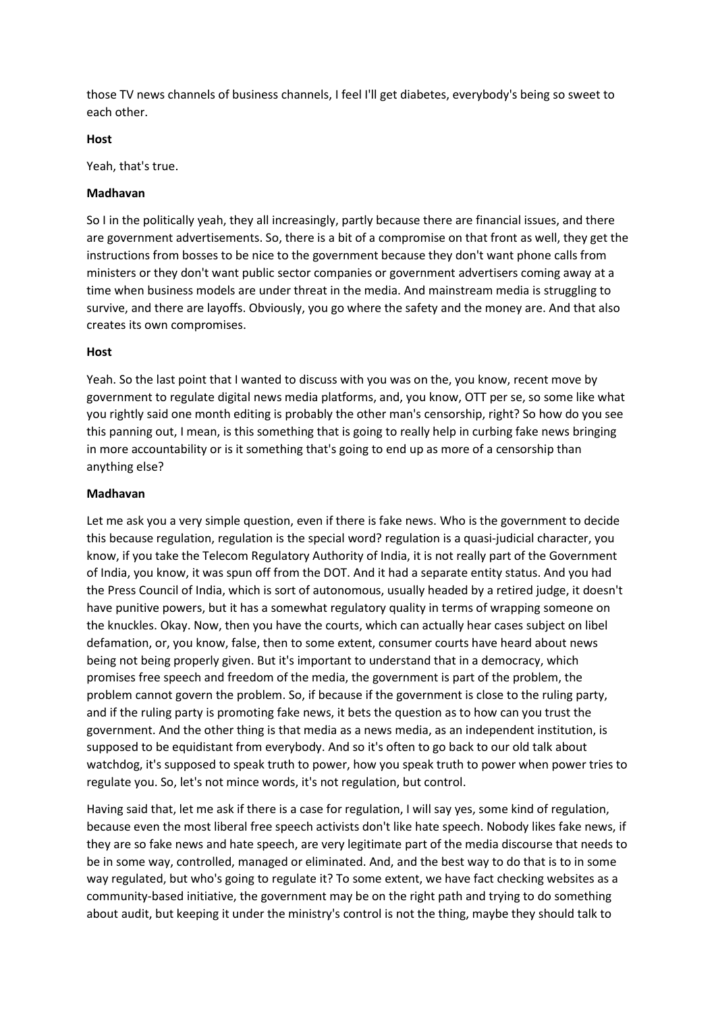those TV news channels of business channels, I feel I'll get diabetes, everybody's being so sweet to each other.

## **Host**

Yeah, that's true.

## **Madhavan**

So I in the politically yeah, they all increasingly, partly because there are financial issues, and there are government advertisements. So, there is a bit of a compromise on that front as well, they get the instructions from bosses to be nice to the government because they don't want phone calls from ministers or they don't want public sector companies or government advertisers coming away at a time when business models are under threat in the media. And mainstream media is struggling to survive, and there are layoffs. Obviously, you go where the safety and the money are. And that also creates its own compromises.

## **Host**

Yeah. So the last point that I wanted to discuss with you was on the, you know, recent move by government to regulate digital news media platforms, and, you know, OTT per se, so some like what you rightly said one month editing is probably the other man's censorship, right? So how do you see this panning out, I mean, is this something that is going to really help in curbing fake news bringing in more accountability or is it something that's going to end up as more of a censorship than anything else?

## **Madhavan**

Let me ask you a very simple question, even if there is fake news. Who is the government to decide this because regulation, regulation is the special word? regulation is a quasi-judicial character, you know, if you take the Telecom Regulatory Authority of India, it is not really part of the Government of India, you know, it was spun off from the DOT. And it had a separate entity status. And you had the Press Council of India, which is sort of autonomous, usually headed by a retired judge, it doesn't have punitive powers, but it has a somewhat regulatory quality in terms of wrapping someone on the knuckles. Okay. Now, then you have the courts, which can actually hear cases subject on libel defamation, or, you know, false, then to some extent, consumer courts have heard about news being not being properly given. But it's important to understand that in a democracy, which promises free speech and freedom of the media, the government is part of the problem, the problem cannot govern the problem. So, if because if the government is close to the ruling party, and if the ruling party is promoting fake news, it bets the question as to how can you trust the government. And the other thing is that media as a news media, as an independent institution, is supposed to be equidistant from everybody. And so it's often to go back to our old talk about watchdog, it's supposed to speak truth to power, how you speak truth to power when power tries to regulate you. So, let's not mince words, it's not regulation, but control.

Having said that, let me ask if there is a case for regulation, I will say yes, some kind of regulation, because even the most liberal free speech activists don't like hate speech. Nobody likes fake news, if they are so fake news and hate speech, are very legitimate part of the media discourse that needs to be in some way, controlled, managed or eliminated. And, and the best way to do that is to in some way regulated, but who's going to regulate it? To some extent, we have fact checking websites as a community-based initiative, the government may be on the right path and trying to do something about audit, but keeping it under the ministry's control is not the thing, maybe they should talk to